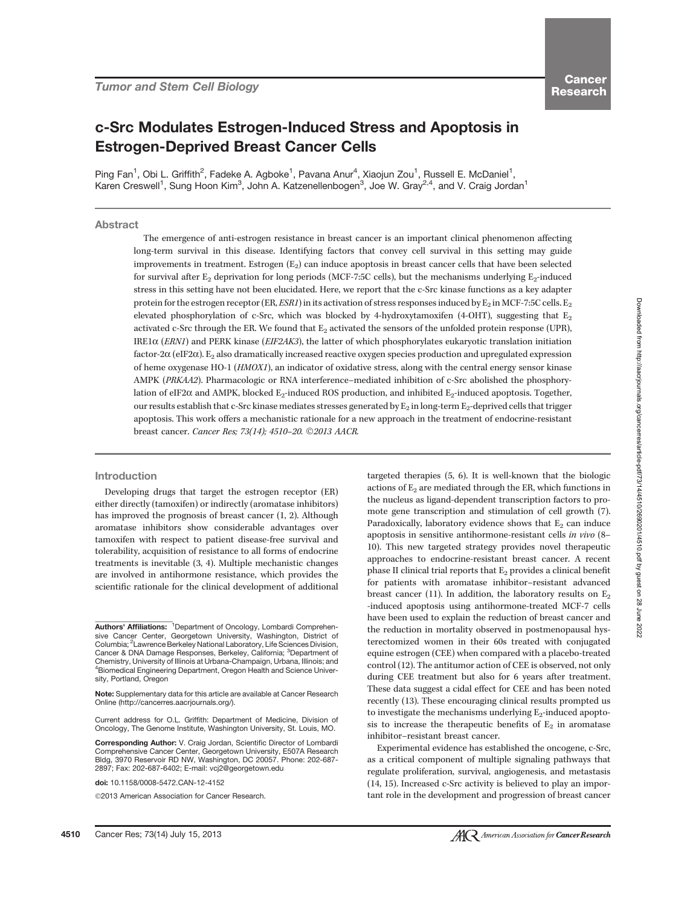# c-Src Modulates Estrogen-Induced Stress and Apoptosis in Estrogen-Deprived Breast Cancer Cells

Ping Fan<sup>1</sup>, Obi L. Griffith<sup>2</sup>, Fadeke A. Agboke<sup>1</sup>, Pavana Anur<sup>4</sup>, Xiaojun Zou<sup>1</sup>, Russell E. McDaniel<sup>1</sup>, Karen Creswell<sup>1</sup>, Sung Hoon Kim<sup>3</sup>, John A. Katzenellenbogen<sup>3</sup>, Joe W. Gray<sup>2,4</sup>, and V. Craig Jordan<sup>1</sup>

# **Abstract**

The emergence of anti-estrogen resistance in breast cancer is an important clinical phenomenon affecting long-term survival in this disease. Identifying factors that convey cell survival in this setting may guide improvements in treatment. Estrogen  $(E_2)$  can induce apoptosis in breast cancer cells that have been selected for survival after  $E_2$  deprivation for long periods (MCF-7:5C cells), but the mechanisms underlying  $E_2$ -induced stress in this setting have not been elucidated. Here, we report that the c-Src kinase functions as a key adapter protein for the estrogen receptor (ER, ESR1) in its activation of stress responses induced by  $E_2$  in MCF-7:5C cells. E<sub>2</sub> elevated phosphorylation of c-Src, which was blocked by 4-hydroxytamoxifen (4-OHT), suggesting that  $E_2$ activated c-Src through the ER. We found that  $E_2$  activated the sensors of the unfolded protein response (UPR), IRE1 $\alpha$  (*ERN1*) and PERK kinase (*EIF2AK3*), the latter of which phosphorylates eukaryotic translation initiation factor-2 $\alpha$  (eIF2 $\alpha$ ). E<sub>2</sub> also dramatically increased reactive oxygen species production and upregulated expression of heme oxygenase HO-1 (HMOX1), an indicator of oxidative stress, along with the central energy sensor kinase AMPK (PRKAA2). Pharmacologic or RNA interference–mediated inhibition of c-Src abolished the phosphorylation of eIF2 $\alpha$  and AMPK, blocked E<sub>2</sub>-induced ROS production, and inhibited E<sub>2</sub>-induced apoptosis. Together, our results establish that c-Src kinase mediates stresses generated by  $E_2$  in long-term  $E_2$ -deprived cells that trigger apoptosis. This work offers a mechanistic rationale for a new approach in the treatment of endocrine-resistant breast cancer. Cancer Res; 73(14); 4510-20. ©2013 AACR.

#### Introduction

Developing drugs that target the estrogen receptor (ER) either directly (tamoxifen) or indirectly (aromatase inhibitors) has improved the prognosis of breast cancer (1, 2). Although aromatase inhibitors show considerable advantages over tamoxifen with respect to patient disease-free survival and tolerability, acquisition of resistance to all forms of endocrine treatments is inevitable (3, 4). Multiple mechanistic changes are involved in antihormone resistance, which provides the scientific rationale for the clinical development of additional

Corresponding Author: V. Craig Jordan, Scientific Director of Lombardi Comprehensive Cancer Center, Georgetown University, E507A Research Bldg, 3970 Reservoir RD NW, Washington, DC 20057. Phone: 202-687- 2897; Fax: 202-687-6402; E-mail: vcj2@georgetown.edu

doi: 10.1158/0008-5472.CAN-12-4152

©2013 American Association for Cancer Research.

targeted therapies (5, 6). It is well-known that the biologic actions of  $E_2$  are mediated through the ER, which functions in the nucleus as ligand-dependent transcription factors to promote gene transcription and stimulation of cell growth (7). Paradoxically, laboratory evidence shows that  $E_2$  can induce apoptosis in sensitive antihormone-resistant cells in vivo (8– 10). This new targeted strategy provides novel therapeutic approaches to endocrine-resistant breast cancer. A recent phase II clinical trial reports that  $E_2$  provides a clinical benefit for patients with aromatase inhibitor–resistant advanced breast cancer (11). In addition, the laboratory results on  $E_2$ -induced apoptosis using antihormone-treated MCF-7 cells have been used to explain the reduction of breast cancer and the reduction in mortality observed in postmenopausal hysterectomized women in their 60s treated with conjugated equine estrogen (CEE) when compared with a placebo-treated control (12). The antitumor action of CEE is observed, not only during CEE treatment but also for 6 years after treatment. These data suggest a cidal effect for CEE and has been noted recently (13). These encouraging clinical results prompted us to investigate the mechanisms underlying  $E_2$ -induced apoptosis to increase the therapeutic benefits of  $E_2$  in aromatase inhibitor–resistant breast cancer.

Experimental evidence has established the oncogene, c-Src, as a critical component of multiple signaling pathways that regulate proliferation, survival, angiogenesis, and metastasis (14, 15). Increased c-Src activity is believed to play an important role in the development and progression of breast cancer

Authors' Affiliations: <sup>1</sup>Department of Oncology, Lombardi Comprehensive Cancer Center, Georgetown University, Washington, District of Columbia; <sup>2</sup> Lawrence Berkeley National Laboratory, Life Sciences Division, Cancer & DNA Damage Responses, Berkeley, California; <sup>3</sup>Department of Chemistry, University of Illinois at Urbana-Champaign, Urbana, Illinois; and 4 Biomedical Engineering Department, Oregon Health and Science University, Portland, Oregon

Note: Supplementary data for this article are available at Cancer Research Online (http://cancerres.aacrjournals.org/).

Current address for O.L. Griffith: Department of Medicine, Division of Oncology, The Genome Institute, Washington University, St. Louis, MO.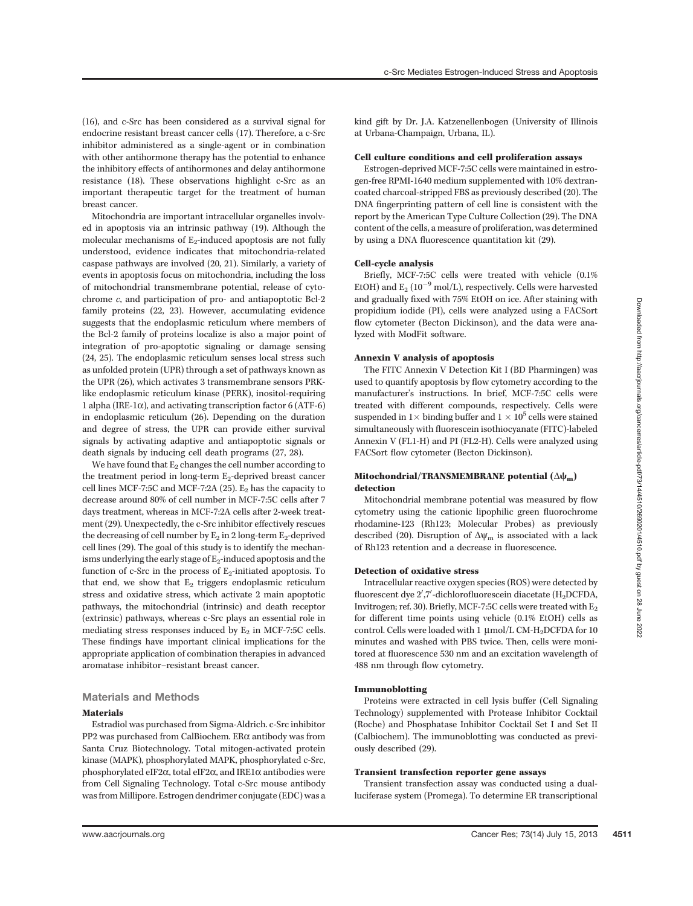(16), and c-Src has been considered as a survival signal for endocrine resistant breast cancer cells (17). Therefore, a c-Src inhibitor administered as a single-agent or in combination with other antihormone therapy has the potential to enhance the inhibitory effects of antihormones and delay antihormone resistance (18). These observations highlight c-Src as an important therapeutic target for the treatment of human breast cancer.

Mitochondria are important intracellular organelles involved in apoptosis via an intrinsic pathway (19). Although the molecular mechanisms of  $E_2$ -induced apoptosis are not fully understood, evidence indicates that mitochondria-related caspase pathways are involved (20, 21). Similarly, a variety of events in apoptosis focus on mitochondria, including the loss of mitochondrial transmembrane potential, release of cytochrome c, and participation of pro- and antiapoptotic Bcl-2 family proteins (22, 23). However, accumulating evidence suggests that the endoplasmic reticulum where members of the Bcl-2 family of proteins localize is also a major point of integration of pro-apoptotic signaling or damage sensing (24, 25). The endoplasmic reticulum senses local stress such as unfolded protein (UPR) through a set of pathways known as the UPR (26), which activates 3 transmembrane sensors PRKlike endoplasmic reticulum kinase (PERK), inositol-requiring 1 alpha (IRE-1 $\alpha$ ), and activating transcription factor 6 (ATF-6) in endoplasmic reticulum (26). Depending on the duration and degree of stress, the UPR can provide either survival signals by activating adaptive and antiapoptotic signals or death signals by inducing cell death programs (27, 28).

We have found that  $E_2$  changes the cell number according to the treatment period in long-term  $E_2$ -deprived breast cancer cell lines MCF-7:5C and MCF-7:2A (25).  $E_2$  has the capacity to decrease around 80% of cell number in MCF-7:5C cells after 7 days treatment, whereas in MCF-7:2A cells after 2-week treatment (29). Unexpectedly, the c-Src inhibitor effectively rescues the decreasing of cell number by  $E_2$  in 2 long-term  $E_2$ -deprived cell lines (29). The goal of this study is to identify the mechanisms underlying the early stage of  $E_2$ -induced apoptosis and the function of c-Src in the process of  $E_2$ -initiated apoptosis. To that end, we show that  $E_2$  triggers endoplasmic reticulum stress and oxidative stress, which activate 2 main apoptotic pathways, the mitochondrial (intrinsic) and death receptor (extrinsic) pathways, whereas c-Src plays an essential role in mediating stress responses induced by  $E_2$  in MCF-7:5C cells. These findings have important clinical implications for the appropriate application of combination therapies in advanced aromatase inhibitor–resistant breast cancer.

# Materials and Methods

### Materials

Estradiol was purchased from Sigma-Aldrich. c-Src inhibitor PP2 was purchased from CalBiochem. ER $\alpha$  antibody was from Santa Cruz Biotechnology. Total mitogen-activated protein kinase (MAPK), phosphorylated MAPK, phosphorylated c-Src, phosphorylated eIF2 $\alpha$ , total eIF2 $\alpha$ , and IRE1 $\alpha$  antibodies were from Cell Signaling Technology. Total c-Src mouse antibody was from Millipore. Estrogen dendrimer conjugate (EDC) was a

kind gift by Dr. J.A. Katzenellenbogen (University of Illinois at Urbana-Champaign, Urbana, IL).

#### Cell culture conditions and cell proliferation assays

Estrogen-deprived MCF-7:5C cells were maintained in estrogen-free RPMI-1640 medium supplemented with 10% dextrancoated charcoal-stripped FBS as previously described (20). The DNA fingerprinting pattern of cell line is consistent with the report by the American Type Culture Collection (29). The DNA content of the cells, a measure of proliferation, was determined by using a DNA fluorescence quantitation kit (29).

#### Cell-cycle analysis

Briefly, MCF-7:5C cells were treated with vehicle (0.1% EtOH) and  $E_2(10^{-9} \text{ mol/L})$ , respectively. Cells were harvested and gradually fixed with 75% EtOH on ice. After staining with propidium iodide (PI), cells were analyzed using a FACSort flow cytometer (Becton Dickinson), and the data were analyzed with ModFit software.

## Annexin V analysis of apoptosis

The FITC Annexin V Detection Kit I (BD Pharmingen) was used to quantify apoptosis by flow cytometry according to the manufacturer's instructions. In brief, MCF-7:5C cells were treated with different compounds, respectively. Cells were suspended in  $1 \times$  binding buffer and  $1 \times 10^5$  cells were stained simultaneously with fluorescein isothiocyanate (FITC)-labeled Annexin V (FL1-H) and PI (FL2-H). Cells were analyzed using FACSort flow cytometer (Becton Dickinson).

# Mitochondrial/TRANSMEMBRANE potential  $(\Delta\psi_m)$ detection

Mitochondrial membrane potential was measured by flow cytometry using the cationic lipophilic green fluorochrome rhodamine-123 (Rh123; Molecular Probes) as previously described (20). Disruption of  $\Delta\psi_m$  is associated with a lack of Rh123 retention and a decrease in fluorescence.

# Detection of oxidative stress

Intracellular reactive oxygen species (ROS) were detected by fluorescent dye  $2^{\prime},7^{\prime}$ -dichlorofluorescein diacetate (H<sub>2</sub>DCFDA, Invitrogen; ref. 30). Briefly, MCF-7:5C cells were treated with  $\mathrm{E}_2$ for different time points using vehicle (0.1% EtOH) cells as control. Cells were loaded with 1  $\mu$ mol/L CM-H<sub>2</sub>DCFDA for 10 minutes and washed with PBS twice. Then, cells were monitored at fluorescence 530 nm and an excitation wavelength of 488 nm through flow cytometry.

# Immunoblotting

Proteins were extracted in cell lysis buffer (Cell Signaling Technology) supplemented with Protease Inhibitor Cocktail (Roche) and Phosphatase Inhibitor Cocktail Set I and Set II (Calbiochem). The immunoblotting was conducted as previously described (29).

## Transient transfection reporter gene assays

Transient transfection assay was conducted using a dualluciferase system (Promega). To determine ER transcriptional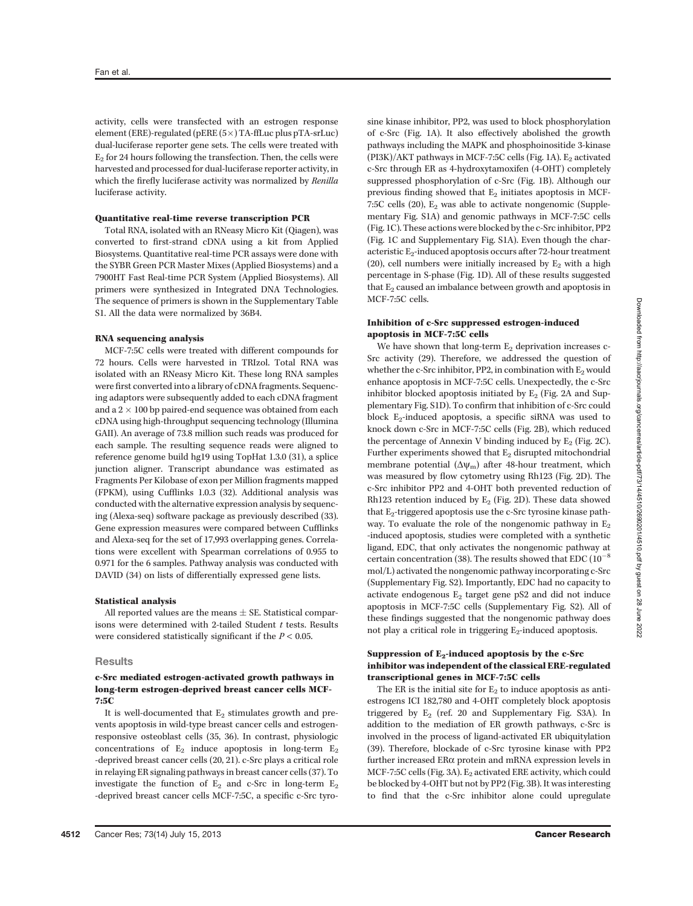activity, cells were transfected with an estrogen response element (ERE)-regulated (pERE  $(5\times)$  TA-ffLuc plus pTA-srLuc) dual-luciferase reporter gene sets. The cells were treated with  $E<sub>2</sub>$  for 24 hours following the transfection. Then, the cells were harvested and processed for dual-luciferase reporter activity, in which the firefly luciferase activity was normalized by Renilla luciferase activity.

# Quantitative real-time reverse transcription PCR

Total RNA, isolated with an RNeasy Micro Kit (Qiagen), was converted to first-strand cDNA using a kit from Applied Biosystems. Quantitative real-time PCR assays were done with the SYBR Green PCR Master Mixes (Applied Biosystems) and a 7900HT Fast Real-time PCR System (Applied Biosystems). All primers were synthesized in Integrated DNA Technologies. The sequence of primers is shown in the Supplementary Table S1. All the data were normalized by 36B4.

#### RNA sequencing analysis

MCF-7:5C cells were treated with different compounds for 72 hours. Cells were harvested in TRIzol. Total RNA was isolated with an RNeasy Micro Kit. These long RNA samples were first converted into a library of cDNA fragments. Sequencing adaptors were subsequently added to each cDNA fragment and a  $2 \times 100$  bp paired-end sequence was obtained from each cDNA using high-throughput sequencing technology (Illumina GAII). An average of 73.8 million such reads was produced for each sample. The resulting sequence reads were aligned to reference genome build hg19 using TopHat 1.3.0 (31), a splice junction aligner. Transcript abundance was estimated as Fragments Per Kilobase of exon per Million fragments mapped (FPKM), using Cufflinks 1.0.3 (32). Additional analysis was conducted with the alternative expression analysis by sequencing (Alexa-seq) software package as previously described (33). Gene expression measures were compared between Cufflinks and Alexa-seq for the set of 17,993 overlapping genes. Correlations were excellent with Spearman correlations of 0.955 to 0.971 for the 6 samples. Pathway analysis was conducted with DAVID (34) on lists of differentially expressed gene lists.

## Statistical analysis

All reported values are the means  $\pm$  SE. Statistical comparisons were determined with 2-tailed Student  $t$  tests. Results were considered statistically significant if the  $P < 0.05$ .

## **Results**

# c-Src mediated estrogen-activated growth pathways in long-term estrogen-deprived breast cancer cells MCF-7:5C

It is well-documented that  $E_2$  stimulates growth and prevents apoptosis in wild-type breast cancer cells and estrogenresponsive osteoblast cells (35, 36). In contrast, physiologic concentrations of  $E_2$  induce apoptosis in long-term  $E_2$ -deprived breast cancer cells (20, 21). c-Src plays a critical role in relaying ER signaling pathways in breast cancer cells (37). To investigate the function of  $E_2$  and c-Src in long-term  $E_2$ -deprived breast cancer cells MCF-7:5C, a specific c-Src tyrosine kinase inhibitor, PP2, was used to block phosphorylation of c-Src (Fig. 1A). It also effectively abolished the growth pathways including the MAPK and phosphoinositide 3-kinase  $(PI3K)/AKT$  pathways in MCF-7:5C cells (Fig. 1A). E<sub>2</sub> activated c-Src through ER as 4-hydroxytamoxifen (4-OHT) completely suppressed phosphorylation of c-Src (Fig. 1B). Although our previous finding showed that  $E_2$  initiates apoptosis in MCF-7:5C cells  $(20)$ ,  $E_2$  was able to activate nongenomic (Supplementary Fig. S1A) and genomic pathways in MCF-7:5C cells (Fig. 1C). These actions were blocked by the c-Src inhibitor, PP2 (Fig. 1C and Supplementary Fig. S1A). Even though the characteristic E<sub>2</sub>-induced apoptosis occurs after 72-hour treatment (20), cell numbers were initially increased by  $E_2$  with a high percentage in S-phase (Fig. 1D). All of these results suggested that  $E_2$  caused an imbalance between growth and apoptosis in MCF-7:5C cells.

## Inhibition of c-Src suppressed estrogen-induced apoptosis in MCF-7:5C cells

We have shown that long-term  $E_2$  deprivation increases c-Src activity (29). Therefore, we addressed the question of whether the c-Src inhibitor, PP2, in combination with  $E_2$  would enhance apoptosis in MCF-7:5C cells. Unexpectedly, the c-Src inhibitor blocked apoptosis initiated by  $E_2$  (Fig. 2A and Supplementary Fig. S1D). To confirm that inhibition of c-Src could block  $E_2$ -induced apoptosis, a specific siRNA was used to knock down c-Src in MCF-7:5C cells (Fig. 2B), which reduced the percentage of Annexin V binding induced by  $E_2$  (Fig. 2C). Further experiments showed that  $E_2$  disrupted mitochondrial membrane potential  $(\Delta \psi_m)$  after 48-hour treatment, which was measured by flow cytometry using Rh123 (Fig. 2D). The c-Src inhibitor PP2 and 4-OHT both prevented reduction of Rh123 retention induced by  $E_2$  (Fig. 2D). These data showed that  $E_2$ -triggered apoptosis use the c-Src tyrosine kinase pathway. To evaluate the role of the nongenomic pathway in  $E_2$ -induced apoptosis, studies were completed with a synthetic ligand, EDC, that only activates the nongenomic pathway at certain concentration (38). The results showed that EDC ( $10^{-8}$ mol/L) activated the nongenomic pathway incorporating c-Src (Supplementary Fig. S2). Importantly, EDC had no capacity to activate endogenous  $E_2$  target gene pS2 and did not induce apoptosis in MCF-7:5C cells (Supplementary Fig. S2). All of these findings suggested that the nongenomic pathway does not play a critical role in triggering  $E_2$ -induced apoptosis.

# Suppression of  $E_2$ -induced apoptosis by the c-Src inhibitor was independent of the classical ERE-regulated transcriptional genes in MCF-7:5C cells

The ER is the initial site for  $E_2$  to induce apoptosis as antiestrogens ICI 182,780 and 4-OHT completely block apoptosis triggered by  $E_2$  (ref. 20 and Supplementary Fig. S3A). In addition to the mediation of ER growth pathways, c-Src is involved in the process of ligand-activated ER ubiquitylation (39). Therefore, blockade of c-Src tyrosine kinase with PP2 further increased ERa protein and mRNA expression levels in MCF-7:5C cells (Fig. 3A). E<sub>2</sub> activated ERE activity, which could be blocked by 4-OHT but not by PP2 (Fig. 3B). It was interesting to find that the c-Src inhibitor alone could upregulate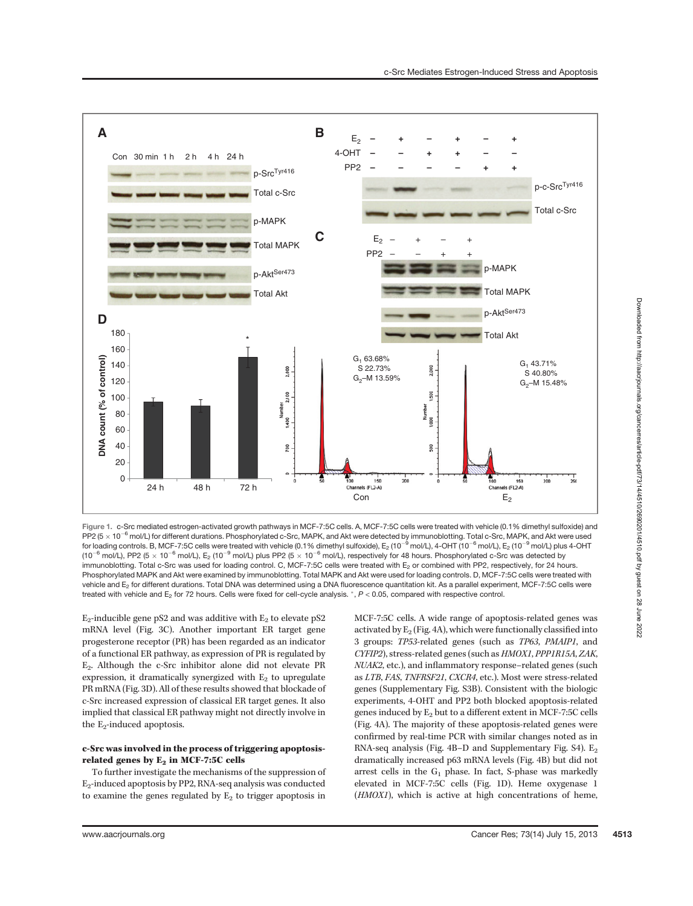

Figure 1. c-Src mediated estrogen-activated growth pathways in MCF-7:5C cells. A, MCF-7:5C cells were treated with vehicle (0.1% dimethyl sulfoxide) and PP2 ( $5 \times 10^{-6}$  mol/L) for different durations. Phosphorylated c-Src, MAPK, and Akt were detected by immunoblotting. Total c-Src, MAPK, and Akt were used for loading controls. B, MCF-7:5C cells were treated with vehicle (0.1% dimethyl sulfoxide),  $E_2(10^{-9}$  mol/L),  $4$ -OHT (10<sup>-6</sup> mol/L),  $E_2(10^{-9}$  mol/L) plus 4-OHT (10<sup>-6</sup> mol/L), PP2 (5  $\times$  10<sup>-6</sup> mol/L), E<sub>2</sub> (10<sup>-9</sup> mol/L) plus PP2 (5  $\times$  10<sup>-6</sup> mol/L), respectively for 48 hours. Phosphorylated c-Src was detected by immunoblotting. Total c-Src was used for loading control. C, MCF-7:5C cells were treated with E<sub>2</sub> or combined with PP2, respectively, for 24 hours. Phosphorylated MAPK and Akt were examined by immunoblotting. Total MAPK and Akt were used for loading controls. D, MCF-7:5C cells were treated with vehicle and E<sub>2</sub> for different durations. Total DNA was determined using a DNA fluorescence quantitation kit. As a parallel experiment, MCF-7:5C cells were treated with vehicle and  $E_2$  for 72 hours. Cells were fixed for cell-cycle analysis.  $\hat{P}$  < 0.05, compared with respective control.

 $E_2$ -inducible gene pS2 and was additive with  $E_2$  to elevate pS2 mRNA level (Fig. 3C). Another important ER target gene progesterone receptor (PR) has been regarded as an indicator of a functional ER pathway, as expression of PR is regulated by E2. Although the c-Src inhibitor alone did not elevate PR expression, it dramatically synergized with  $E_2$  to upregulate PR mRNA (Fig. 3D). All of these results showed that blockade of c-Src increased expression of classical ER target genes. It also implied that classical ER pathway might not directly involve in the  $E_2$ -induced apoptosis.

# c-Src was involved in the process of triggering apoptosisrelated genes by  $E_2$  in MCF-7:5C cells

To further investigate the mechanisms of the suppression of E2-induced apoptosis by PP2, RNA-seq analysis was conducted to examine the genes regulated by  $E_2$  to trigger apoptosis in

MCF-7:5C cells. A wide range of apoptosis-related genes was activated by  $E_2$  (Fig. 4A), which were functionally classified into 3 groups: TP53-related genes (such as TP63, PMAIP1, and CYFIP2), stress-related genes (such as HMOX1, PPP1R15A, ZAK, NUAK2, etc.), and inflammatory response–related genes (such as LTB, FAS, TNFRSF21, CXCR4, etc.). Most were stress-related genes (Supplementary Fig. S3B). Consistent with the biologic experiments, 4-OHT and PP2 both blocked apoptosis-related genes induced by  $E_2$  but to a different extent in MCF-7:5C cells (Fig. 4A). The majority of these apoptosis-related genes were confirmed by real-time PCR with similar changes noted as in RNA-seq analysis (Fig. 4B-D and Supplementary Fig. S4).  $E_2$ dramatically increased p63 mRNA levels (Fig. 4B) but did not arrest cells in the  $G_1$  phase. In fact, S-phase was markedly elevated in MCF-7:5C cells (Fig. 1D). Heme oxygenase 1 (HMOX1), which is active at high concentrations of heme,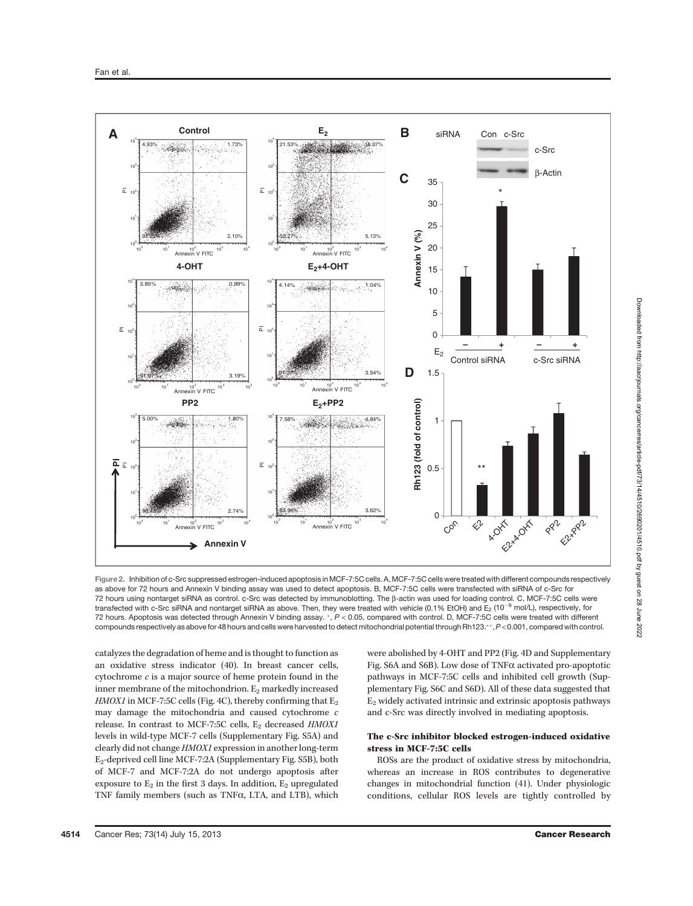

Figure 2. Inhibition of c-Src suppressed estrogen-induced apoptosis in MCF-7:5C cells. A, MCF-7:5C cells were treated with different compounds respectively as above for 72 hours and Annexin V binding assay was used to detect apoptosis. B, MCF-7:5C cells were transfected with siRNA of c-Src for 72 hours using nontarget siRNA as control. c-Src was detected by immunoblotting. The b-actin was used for loading control. C, MCF-7:5C cells were transfected with c-Src siRNA and nontarget siRNA as above. Then, they were treated with vehicle (0.1% EtOH) and  $E_2$  (10<sup>-9</sup> mol/L), respectively, for 72 hours. Apoptosis was detected through Annexin V binding assay. \*, P < 0.05, compared with control. D, MCF-7:5C cells were treated with different compounds respectively as above for 48 hours and cells were harvested to detect mitochondrial potential through Rh123.\*\*, P<0.001, compared with control.

catalyzes the degradation of heme and is thought to function as an oxidative stress indicator (40). In breast cancer cells, cytochrome c is a major source of heme protein found in the inner membrane of the mitochondrion. E<sub>2</sub> markedly increased HMOX1 in MCF-7:5C cells (Fig. 4C), thereby confirming that  $E_2$ may damage the mitochondria and caused cytochrome c release. In contrast to MCF-7:5C cells,  $E_2$  decreased  $HMOXI$ levels in wild-type MCF-7 cells (Supplementary Fig. S5A) and clearly did not change HMOX1 expression in another long-term E2-deprived cell line MCF-7:2A (Supplementary Fig. S5B), both of MCF-7 and MCF-7:2A do not undergo apoptosis after exposure to  $E_2$  in the first 3 days. In addition,  $E_2$  upregulated TNF family members (such as TNF $\alpha$ , LTA, and LTB), which were abolished by 4-OHT and PP2 (Fig. 4D and Supplementary Fig. S6A and S6B). Low dose of TNF $\alpha$  activated pro-apoptotic pathways in MCF-7:5C cells and inhibited cell growth (Supplementary Fig. S6C and S6D). All of these data suggested that  $E<sub>2</sub>$  widely activated intrinsic and extrinsic apoptosis pathways and c-Src was directly involved in mediating apoptosis.

# The c-Src inhibitor blocked estrogen-induced oxidative stress in MCF-7:5C cells

ROSs are the product of oxidative stress by mitochondria, whereas an increase in ROS contributes to degenerative changes in mitochondrial function (41). Under physiologic conditions, cellular ROS levels are tightly controlled by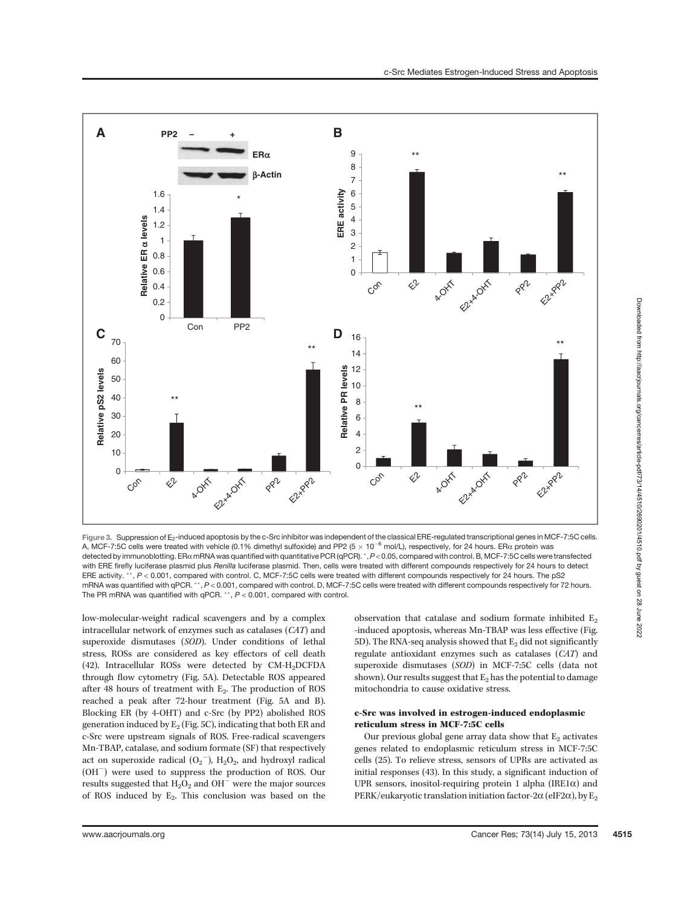

Figure 3. Suppression of E<sub>2</sub>-induced apoptosis by the c-Src inhibitor was independent of the classical ERE-regulated transcriptional genes in MCF-7:5C cells. A, MCF-7:5C cells were treated with vehicle (0.1% dimethyl sulfoxide) and PP2 (5  $\times$  10<sup>-6</sup> mol/L), respectively, for 24 hours. ER $\alpha$  protein was detected by immunoblotting. ERa mRNA was quantified with quantitative PCR (qPCR). \*, P < 0.05, compared with control. B, MCF-7:5C cells were transfected with ERE firefly luciferase plasmid plus Renilla luciferase plasmid. Then, cells were treated with different compounds respectively for 24 hours to detect ERE activity.  $**$ ,  $P < 0.001$ , compared with control. C, MCF-7:5C cells were treated with different compounds respectively for 24 hours. The pS2 mRNA was quantified with qPCR.  $^*, P < 0.001$ , compared with control. D, MCF-7:5C cells were treated with different compounds respectively for 72 hours. The PR mRNA was quantified with qPCR.  $**$ ,  $P < 0.001$ , compared with control.

low-molecular-weight radical scavengers and by a complex intracellular network of enzymes such as catalases (CAT) and superoxide dismutases (SOD). Under conditions of lethal stress, ROSs are considered as key effectors of cell death (42). Intracellular ROSs were detected by  $CM-H<sub>2</sub>DCFDA$ through flow cytometry (Fig. 5A). Detectable ROS appeared after 48 hours of treatment with  $E_2$ . The production of ROS reached a peak after 72-hour treatment (Fig. 5A and B). Blocking ER (by 4-OHT) and c-Src (by PP2) abolished ROS generation induced by  $E_2$  (Fig. 5C), indicating that both ER and c-Src were upstream signals of ROS. Free-radical scavengers Mn-TBAP, catalase, and sodium formate (SF) that respectively act on superoxide radical  $(O_2^-)$ ,  $H_2O_2$ , and hydroxyl radical  $(OH^-)$  were used to suppress the production of ROS. Our results suggested that  $H_2O_2$  and  $OH^-$  were the major sources of ROS induced by  $E_2$ . This conclusion was based on the observation that catalase and sodium formate inhibited  $E_2$ -induced apoptosis, whereas Mn-TBAP was less effective (Fig. 5D). The RNA-seq analysis showed that  $E_2$  did not significantly regulate antioxidant enzymes such as catalases (CAT) and superoxide dismutases (SOD) in MCF-7:5C cells (data not shown). Our results suggest that  $E_2$  has the potential to damage mitochondria to cause oxidative stress.

# c-Src was involved in estrogen-induced endoplasmic reticulum stress in MCF-7:5C cells

Our previous global gene array data show that  $E_2$  activates genes related to endoplasmic reticulum stress in MCF-7:5C cells (25). To relieve stress, sensors of UPRs are activated as initial responses (43). In this study, a significant induction of UPR sensors, inositol-requiring protein 1 alpha (IRE1 $\alpha$ ) and PERK/eukaryotic translation initiation factor-2 $\alpha$  (eIF2 $\alpha$ ), by E<sub>2</sub>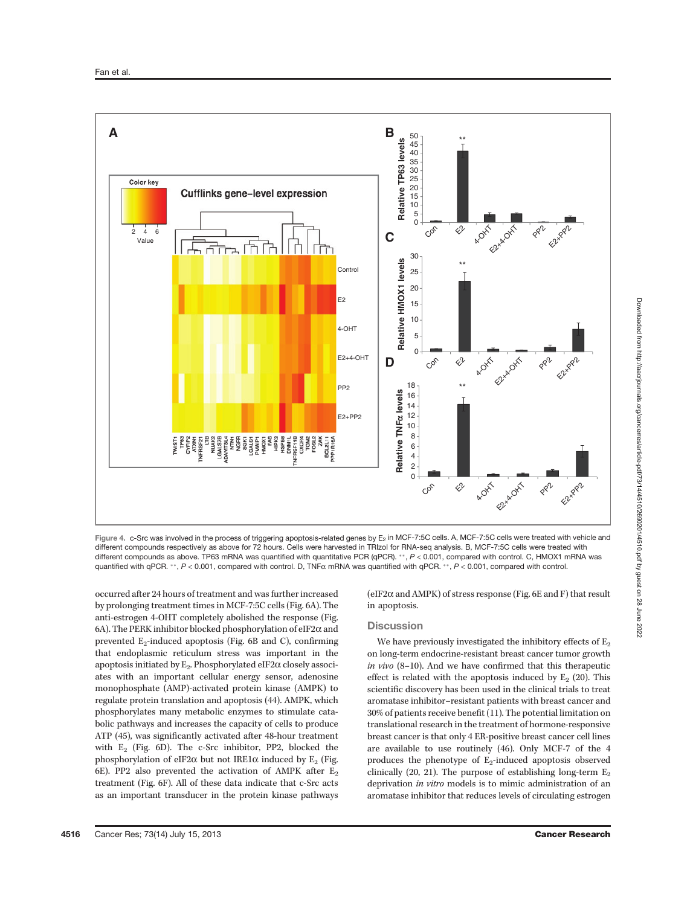

Figure 4. c-Src was involved in the process of triggering apoptosis-related genes by E<sub>2</sub> in MCF-7:5C cells. A, MCF-7:5C cells were treated with vehicle and different compounds respectively as above for 72 hours. Cells were harvested in TRIzol for RNA-seq analysis. B, MCF-7:5C cells were treated with different compounds as above. TP63 mRNA was quantified with quantitative PCR (qPCR). \*\*, P < 0.001, compared with control. C, HMOX1 mRNA was quantified with qPCR. \*\*,  $P < 0.001$ , compared with control. D, TNF $\alpha$  mRNA was quantified with qPCR. \*\*,  $P < 0.001$ , compared with control.

occurred after 24 hours of treatment and was further increased by prolonging treatment times in MCF-7:5C cells (Fig. 6A). The anti-estrogen 4-OHT completely abolished the response (Fig. 6A). The PERK inhibitor blocked phosphorylation of eIF2 $\alpha$  and prevented  $E_2$ -induced apoptosis (Fig. 6B and C), confirming that endoplasmic reticulum stress was important in the apoptosis initiated by  $E_2$ . Phosphorylated eIF2 $\alpha$  closely associates with an important cellular energy sensor, adenosine monophosphate (AMP)-activated protein kinase (AMPK) to regulate protein translation and apoptosis (44). AMPK, which phosphorylates many metabolic enzymes to stimulate catabolic pathways and increases the capacity of cells to produce ATP (45), was significantly activated after 48-hour treatment with  $E_2$  (Fig. 6D). The c-Src inhibitor, PP2, blocked the phosphorylation of eIF2 $\alpha$  but not IRE1 $\alpha$  induced by E<sub>2</sub> (Fig. 6E). PP2 also prevented the activation of AMPK after  $E_2$ treatment (Fig. 6F). All of these data indicate that c-Src acts as an important transducer in the protein kinase pathways

(eIF2 $\alpha$  and AMPK) of stress response (Fig. 6E and F) that result in apoptosis.

## **Discussion**

We have previously investigated the inhibitory effects of  $E_2$ on long-term endocrine-resistant breast cancer tumor growth in vivo (8–10). And we have confirmed that this therapeutic effect is related with the apoptosis induced by  $E_2$  (20). This scientific discovery has been used in the clinical trials to treat aromatase inhibitor–resistant patients with breast cancer and 30% of patients receive benefit (11). The potential limitation on translational research in the treatment of hormone-responsive breast cancer is that only 4 ER-positive breast cancer cell lines are available to use routinely (46). Only MCF-7 of the 4 produces the phenotype of  $E_2$ -induced apoptosis observed clinically (20, 21). The purpose of establishing long-term  $E_2$ deprivation in vitro models is to mimic administration of an aromatase inhibitor that reduces levels of circulating estrogen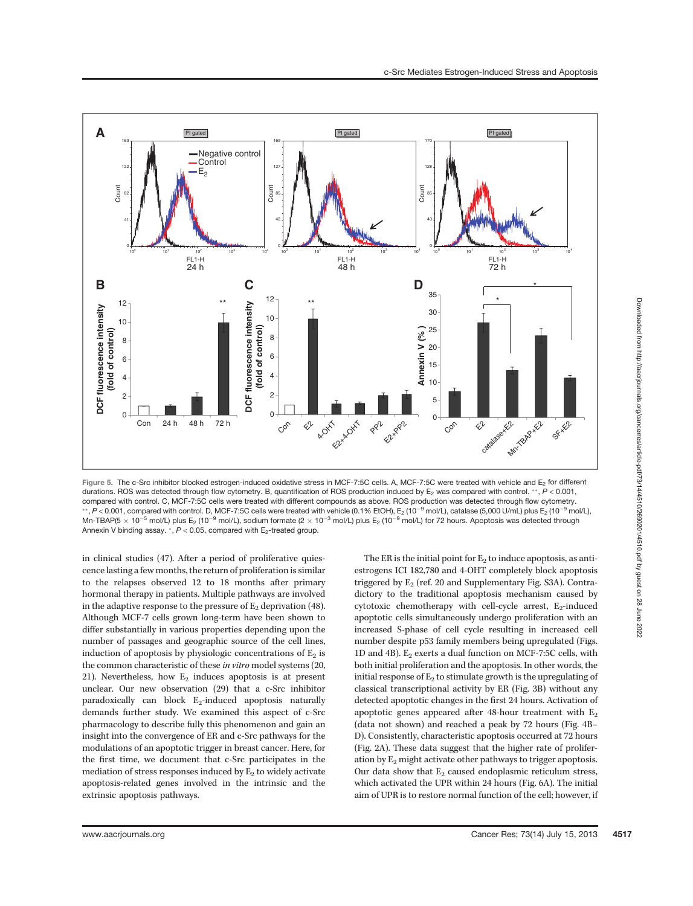

Figure 5. The c-Src inhibitor blocked estrogen-induced oxidative stress in MCF-7:5C cells. A, MCF-7:5C were treated with vehicle and E<sub>2</sub> for different durations. ROS was detected through flow cytometry. B, quantification of ROS production induced by  $E_2$  was compared with control. \*\*,  $P < 0.001$ , compared with control. C, MCF-7:5C cells were treated with different compounds as above. ROS production was detected through flow cytometry. \*\*, P < 0.001, compared with control. D, MCF-7:5C cells were treated with vehicle (0.1% EtOH), E<sub>2</sub> (10<sup>-9</sup> mol/L), catalase (5,000 U/mL) plus E<sub>2</sub> (10<sup>-9</sup> mol/L), Mn-TBAP(5  $\times$  10<sup>-5</sup> mol/L) plus E<sub>2</sub> (10<sup>-9</sup> mol/L), sodium formate (2  $\times$  10<sup>-3</sup> mol/L) plus E<sub>2</sub> (10<sup>-9</sup> mol/L) for 72 hours. Apoptosis was detected through Annexin V binding assay.  $^*$ ,  $P < 0.05$ , compared with E<sub>2</sub>-treated group.

in clinical studies (47). After a period of proliferative quiescence lasting a few months, the return of proliferation is similar to the relapses observed 12 to 18 months after primary hormonal therapy in patients. Multiple pathways are involved in the adaptive response to the pressure of  $E_2$  deprivation (48). Although MCF-7 cells grown long-term have been shown to differ substantially in various properties depending upon the number of passages and geographic source of the cell lines, induction of apoptosis by physiologic concentrations of  $E_2$  is the common characteristic of these in vitro model systems (20, 21). Nevertheless, how  $E_2$  induces apoptosis is at present unclear. Our new observation (29) that a c-Src inhibitor paradoxically can block  $E_2$ -induced apoptosis naturally demands further study. We examined this aspect of c-Src pharmacology to describe fully this phenomenon and gain an insight into the convergence of ER and c-Src pathways for the modulations of an apoptotic trigger in breast cancer. Here, for the first time, we document that c-Src participates in the mediation of stress responses induced by  $E_2$  to widely activate apoptosis-related genes involved in the intrinsic and the extrinsic apoptosis pathways.

The ER is the initial point for  $E_2$  to induce apoptosis, as antiestrogens ICI 182,780 and 4-OHT completely block apoptosis triggered by  $E_2$  (ref. 20 and Supplementary Fig. S3A). Contradictory to the traditional apoptosis mechanism caused by cytotoxic chemotherapy with cell-cycle arrest,  $E_2$ -induced apoptotic cells simultaneously undergo proliferation with an increased S-phase of cell cycle resulting in increased cell number despite p53 family members being upregulated (Figs. 1D and 4B).  $E_2$  exerts a dual function on MCF-7:5C cells, with both initial proliferation and the apoptosis. In other words, the initial response of  $E_2$  to stimulate growth is the upregulating of classical transcriptional activity by ER (Fig. 3B) without any detected apoptotic changes in the first 24 hours. Activation of apoptotic genes appeared after 48-hour treatment with  $E_2$ (data not shown) and reached a peak by 72 hours (Fig. 4B– D). Consistently, characteristic apoptosis occurred at 72 hours (Fig. 2A). These data suggest that the higher rate of proliferation by  $E_2$  might activate other pathways to trigger apoptosis. Our data show that  $E_2$  caused endoplasmic reticulum stress, which activated the UPR within 24 hours (Fig. 6A). The initial aim of UPR is to restore normal function of the cell; however, if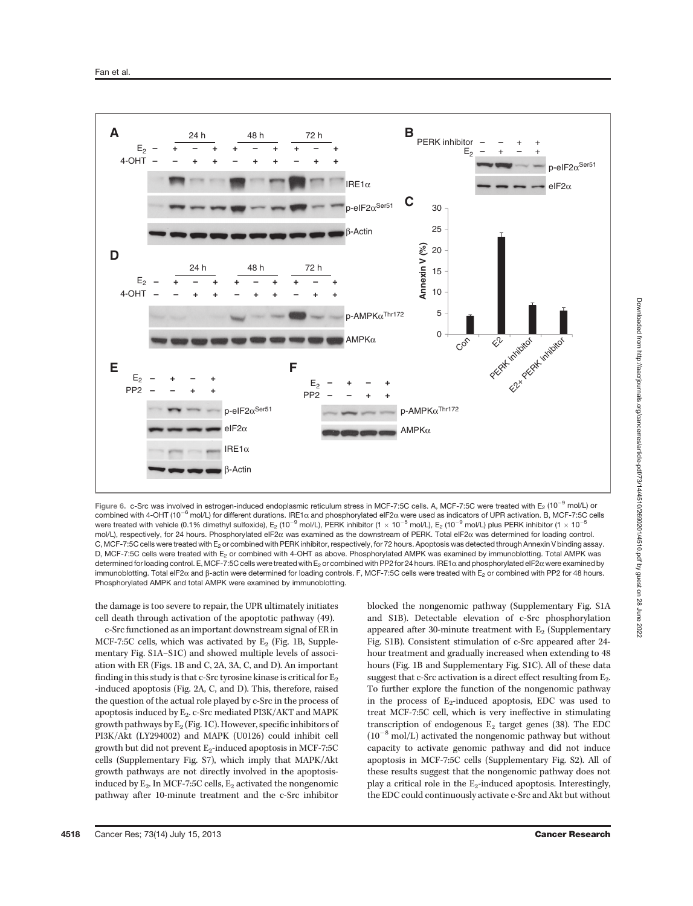

Figure 6. c-Src was involved in estrogen-induced endoplasmic reticulum stress in MCF-7:5C cells. A, MCF-7:5C were treated with E<sub>2</sub> (10<sup>-9</sup> mol/L) or combined with 4-OHT (10<sup>-6</sup> mol/L) for different durations. IRE1 $\alpha$  and phosphorylated eIF2 $\alpha$  were used as indicators of UPR activation. B, MCF-7:5C cells were treated with vehicle (0.1% dimethyl sulfoxide), E<sub>2</sub> (10<sup>-9</sup> mol/L), PERK inhibitor (1  $\times$  10<sup>-5</sup> mol/L), E<sub>2</sub> (10<sup>-9</sup> mol/L) plus PERK inhibitor (1  $\times$  10<sup>-5</sup> mol/L), respectively, for 24 hours. Phosphorylated eIF2a was examined as the downstream of PERK. Total eIF2a was determined for loading control. C, MCF-7:5C cells were treated with E<sub>2</sub> or combined with PERK inhibitor, respectively, for 72 hours. Apoptosis was detected through Annexin V binding assay. D, MCF-7:5C cells were treated with E<sub>2</sub> or combined with 4-OHT as above. Phosphorylated AMPK was examined by immunoblotting. Total AMPK was determined for loading control. E, MCF-7:5C cells were treated with E<sub>2</sub> or combined with PP2 for 24 hours. IRE1 $\alpha$  and phosphorylated eIF2 $\alpha$  were examined by immunoblotting. Total eIF2α and β-actin were determined for loading controls. F, MCF-7:5C cells were treated with E<sub>2</sub> or combined with PP2 for 48 hours. Phosphorylated AMPK and total AMPK were examined by immunoblotting.

the damage is too severe to repair, the UPR ultimately initiates cell death through activation of the apoptotic pathway (49).

c-Src functioned as an important downstream signal of ER in MCF-7:5C cells, which was activated by  $E_2$  (Fig. 1B, Supplementary Fig. S1A–S1C) and showed multiple levels of association with ER (Figs. 1B and C, 2A, 3A, C, and D). An important finding in this study is that c-Src tyrosine kinase is critical for  $E_2$ -induced apoptosis (Fig. 2A, C, and D). This, therefore, raised the question of the actual role played by c-Src in the process of apoptosis induced by  $E_2$ . c-Src mediated PI3K/AKT and MAPK growth pathways by  $E_2$  (Fig. 1C). However, specific inhibitors of PI3K/Akt (LY294002) and MAPK (U0126) could inhibit cell growth but did not prevent  $E_2$ -induced apoptosis in MCF-7:5C cells (Supplementary Fig. S7), which imply that MAPK/Akt growth pathways are not directly involved in the apoptosisinduced by  $E_2$ . In MCF-7:5C cells,  $E_2$  activated the nongenomic pathway after 10-minute treatment and the c-Src inhibitor blocked the nongenomic pathway (Supplementary Fig. S1A and S1B). Detectable elevation of c-Src phosphorylation appeared after 30-minute treatment with  $E_2$  (Supplementary Fig. S1B). Consistent stimulation of c-Src appeared after 24 hour treatment and gradually increased when extending to 48 hours (Fig. 1B and Supplementary Fig. S1C). All of these data suggest that c-Src activation is a direct effect resulting from  $E_2$ . To further explore the function of the nongenomic pathway in the process of  $E_2$ -induced apoptosis, EDC was used to treat MCF-7:5C cell, which is very ineffective in stimulating transcription of endogenous  $E_2$  target genes (38). The EDC  $(10^{-8}$  mol/L) activated the nongenomic pathway but without capacity to activate genomic pathway and did not induce apoptosis in MCF-7:5C cells (Supplementary Fig. S2). All of these results suggest that the nongenomic pathway does not play a critical role in the  $E_2$ -induced apoptosis. Interestingly, the EDC could continuously activate c-Src and Akt but without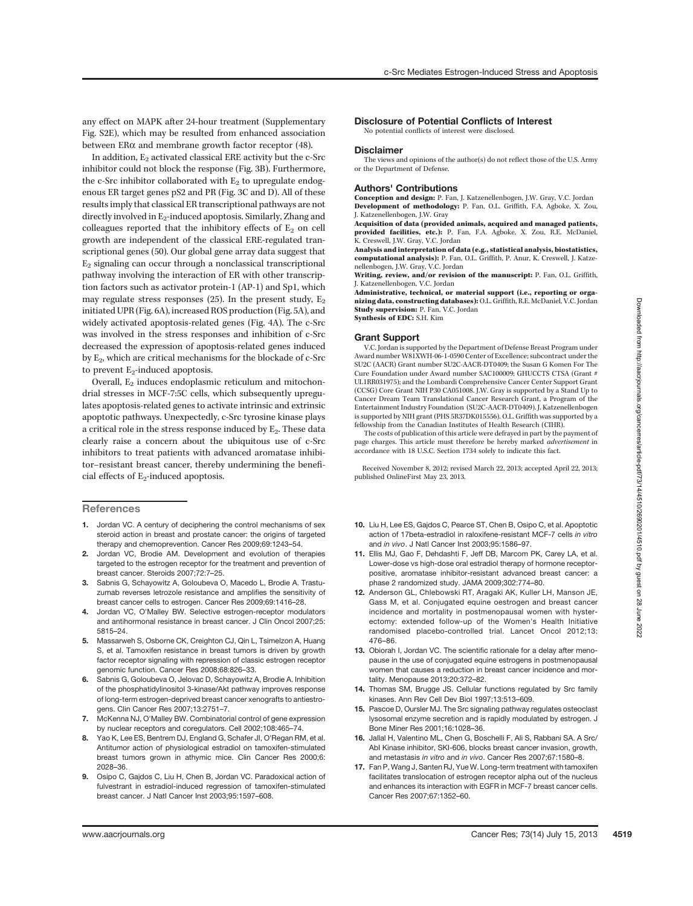between ER $\alpha$  and membrane growth factor receptor (48). In addition,  $E_2$  activated classical ERE activity but the c-Src inhibitor could not block the response (Fig. 3B). Furthermore, the c-Src inhibitor collaborated with  $E_2$  to upregulate endogenous ER target genes pS2 and PR (Fig. 3C and D). All of these results imply that classical ER transcriptional pathways are not directly involved in  $E_2$ -induced apoptosis. Similarly, Zhang and colleagues reported that the inhibitory effects of  $E_2$  on cell growth are independent of the classical ERE-regulated transcriptional genes (50). Our global gene array data suggest that  $E_2$  signaling can occur through a nonclassical transcriptional pathway involving the interaction of ER with other transcription factors such as activator protein-1 (AP-1) and Sp1, which may regulate stress responses (25). In the present study,  $E_2$ initiated UPR (Fig. 6A), increased ROS production (Fig. 5A), and widely activated apoptosis-related genes (Fig. 4A). The c-Src

was involved in the stress responses and inhibition of c-Src decreased the expression of apoptosis-related genes induced by E<sub>2</sub>, which are critical mechanisms for the blockade of c-Src to prevent  $E_2$ -induced apoptosis.

Overall,  $E_2$  induces endoplasmic reticulum and mitochondrial stresses in MCF-7:5C cells, which subsequently upregulates apoptosis-related genes to activate intrinsic and extrinsic apoptotic pathways. Unexpectedly, c-Src tyrosine kinase plays a critical role in the stress response induced by  $E_2$ . These data clearly raise a concern about the ubiquitous use of c-Src inhibitors to treat patients with advanced aromatase inhibitor–resistant breast cancer, thereby undermining the beneficial effects of  $E_2$ -induced apoptosis.

**References** 

- 1. Jordan VC. A century of deciphering the control mechanisms of sex steroid action in breast and prostate cancer: the origins of targeted therapy and chemoprevention. Cancer Res 2009;69:1243–54.
- 2. Jordan VC, Brodie AM. Development and evolution of therapies targeted to the estrogen receptor for the treatment and prevention of breast cancer. Steroids 2007;72:7–25.
- 3. Sabnis G, Schayowitz A, Goloubeva O, Macedo L, Brodie A. Trastuzumab reverses letrozole resistance and amplifies the sensitivity of breast cancer cells to estrogen. Cancer Res 2009;69:1416–28.
- 4. Jordan VC, O'Malley BW. Selective estrogen-receptor modulators and antihormonal resistance in breast cancer. J Clin Oncol 2007;25: 5815–24.
- 5. Massarweh S, Osborne CK, Creighton CJ, Qin L, Tsimelzon A, Huang S, et al. Tamoxifen resistance in breast tumors is driven by growth factor receptor signaling with repression of classic estrogen receptor genomic function. Cancer Res 2008;68:826–33.
- 6. Sabnis G, Goloubeva O, Jelovac D, Schayowitz A, Brodie A. Inhibition of the phosphatidylinositol 3-kinase/Akt pathway improves response of long-term estrogen-deprived breast cancer xenografts to antiestrogens. Clin Cancer Res 2007;13:2751–7.
- 7. McKenna NJ, O'Malley BW. Combinatorial control of gene expression by nuclear receptors and coregulators. Cell 2002;108:465–74.
- 8. Yao K, Lee ES, Bentrem DJ, England G, Schafer JJ, O'Regan RM, et al. Antitumor action of physiological estradiol on tamoxifen-stimulated breast tumors grown in athymic mice. Clin Cancer Res 2000;6: 2028–36.
- 9. Osipo C, Gajdos C, Liu H, Chen B, Jordan VC. Paradoxical action of fulvestrant in estradiol-induced regression of tamoxifen-stimulated breast cancer. J Natl Cancer Inst 2003;95:1597–608.

Disclosure of Potential Conflicts of Interest No potential conflicts of interest were disclosed.

#### **Disclaimer**

The views and opinions of the author(s) do not reflect those of the U.S. Army or the Department of Defense.

#### Authors' Contributions

Conception and design: P. Fan, J. Katzenellenbogen, J.W. Gray, V.C. Jordan Development of methodology: P. Fan, O.L. Griffith, F.A. Agboke, X. Zou, J. Katzenellenbogen, J.W. Gray

Acquisition of data (provided animals, acquired and managed patients, provided facilities, etc.): P. Fan, F.A. Agboke, X. Zou, R.E. McDaniel, K. Creswell, J.W. Gray, V.C. Jordan

Analysis and interpretation of data (e.g., statistical analysis, biostatistics, computational analysis): P. Fan, O.L. Griffith, P. Anur, K. Creswell, J. Katzenellenbogen, J.W. Gray, V.C. Jordan

Writing, review, and/or revision of the manuscript: P. Fan, O.L. Griffith, J. Katzenellenbogen, V.C. Jordan

Administrative, technical, or material support (i.e., reporting or organizing data, constructing databases): O.L. Griffith, R.E. McDaniel, V.C. Jordan Study supervision: P. Fan, V.C. Jordan Synthesis of EDC: S.H. Kim

#### Grant Support

V.C. Jordan is supported by the Department of Defense Breast Program under Award number W81XWH-06-1-0590 Center of Excellence; subcontract under the SU2C (AACR) Grant number SU2C-AACR-DT0409; the Susan G Komen For The Cure Foundation under Award number SAC100009; GHUCCTS CTSA (Grant # UL1RR031975); and the Lombardi Comprehensive Cancer Center Support Grant (CCSG) Core Grant NIH P30 CA051008. J.W. Gray is supported by a Stand Up to Cancer Dream Team Translational Cancer Research Grant, a Program of the Entertainment Industry Foundation (SU2C-AACR-DT0409). J. Katzenellenbogen is supported by NIH grant (PHS 5R37DK015556). O.L. Griffith was supported by a fellowship from the Canadian Institutes of Health Research (CIHR).

The costs of publication of this article were defrayed in part by the payment of page charges. This article must therefore be hereby marked advertisement in accordance with 18 U.S.C. Section 1734 solely to indicate this fact.

Received November 8, 2012; revised March 22, 2013; accepted April 22, 2013; published OnlineFirst May 23, 2013.

- 10. Liu H, Lee ES, Gajdos C, Pearce ST, Chen B, Osipo C, et al. Apoptotic action of 17beta-estradiol in raloxifene-resistant MCF-7 cells in vitro and in vivo. J Natl Cancer Inst 2003;95:1586–97.
- 11. Ellis MJ, Gao F, Dehdashti F, Jeff DB, Marcom PK, Carey LA, et al. Lower-dose vs high-dose oral estradiol therapy of hormone receptorpositive, aromatase inhibitor-resistant advanced breast cancer: a phase 2 randomized study. JAMA 2009;302:774–80.
- 12. Anderson GL, Chlebowski RT, Aragaki AK, Kuller LH, Manson JE, Gass M, et al. Conjugated equine oestrogen and breast cancer incidence and mortality in postmenopausal women with hysterectomy: extended follow-up of the Women's Health Initiative randomised placebo-controlled trial. Lancet Oncol 2012;13: 476–86.
- 13. Obiorah I, Jordan VC. The scientific rationale for a delay after menopause in the use of conjugated equine estrogens in postmenopausal women that causes a reduction in breast cancer incidence and mortality. Menopause 2013;20:372–82.
- 14. Thomas SM, Brugge JS. Cellular functions regulated by Src family kinases. Ann Rev Cell Dev Biol 1997;13:513–609.
- 15. Pascoe D, Oursler MJ. The Src signaling pathway regulates osteoclast lysosomal enzyme secretion and is rapidly modulated by estrogen. J Bone Miner Res 2001;16:1028–36.
- 16. Jallal H, Valentino ML, Chen G, Boschelli F, Ali S, Rabbani SA. A Src/ AbI Kinase inhibitor, SKI-606, blocks breast cancer invasion, growth, and metastasis in vitro and in vivo. Cancer Res 2007;67:1580–8.
- 17. Fan P, Wang J, Santen RJ, Yue W. Long-term treatment with tamoxifen facilitates translocation of estrogen receptor alpha out of the nucleus and enhances its interaction with EGFR in MCF-7 breast cancer cells. Cancer Res 2007;67:1352–60.